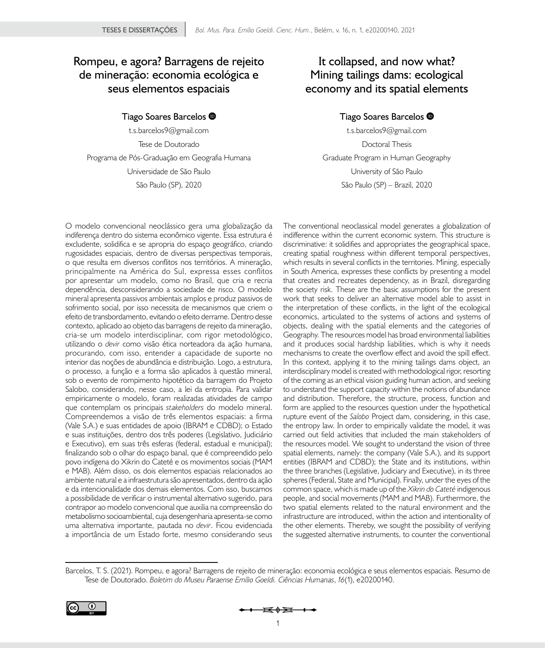## **Rompeu, e agora? Barragens de rejeito de mineração: economia ecológica e seus elementos espaciais**

#### **Tiago Soares Barcelos**

t.s.barcelos9@gmail.com Tese de Doutorado Programa de Pós-Graduação em Geografia Humana Universidade de São Paulo São Paulo (SP), 2020

# **It collapsed, and now what? Mining tailings dams: ecological economy and its spatial elements**

### **Tiago Soares Barcelos**

t.s.barcelos9@gmail.com Doctoral Thesis Graduate Program in Human Geography University of São Paulo São Paulo (SP) – Brazil, 2020

O modelo convencional neoclássico gera uma globalização da indiferença dentro do sistema econômico vigente. Essa estrutura é excludente, solidifica e se apropria do espaço geográfico, criando rugosidades espaciais, dentro de diversas perspectivas temporais, o que resulta em diversos conflitos nos territórios. A mineração, principalmente na América do Sul, expressa esses conflitos por apresentar um modelo, como no Brasil, que cria e recria dependência, desconsiderando a sociedade de risco. O modelo mineral apresenta passivos ambientais amplos e produz passivos de sofrimento social, por isso necessita de mecanismos que criem o efeito de transbordamento, evitando o efeito derrame. Dentro desse contexto, aplicado ao objeto das barragens de rejeito da mineração, cria-se um modelo interdisciplinar, com rigor metodológico, utilizando o *devir* como visão ética norteadora da ação humana, procurando, com isso, entender a capacidade de suporte no interior das noções de abundância e distribuição. Logo, a estrutura, o processo, a função e a forma são aplicados à questão mineral, sob o evento de rompimento hipotético da barragem do Projeto Salobo, considerando, nesse caso, a lei da entropia. Para validar empiricamente o modelo, foram realizadas atividades de campo que contemplam os principais *stakeholders* do modelo mineral. Compreendemos a visão de três elementos espaciais: a firma (Vale S.A.) e suas entidades de apoio (IBRAM e CDBD); o Estado e suas instituições, dentro dos três poderes (Legislativo, Judiciário e Executivo), em suas três esferas (federal, estadual e municipal); finalizando sob o olhar do espaço banal, que é compreendido pelo povo indígena do Xikrin do Cateté e os movimentos sociais (MAM e MAB). Além disso, os dois elementos espaciais relacionados ao ambiente natural e a infraestrutura são apresentados, dentro da ação e da intencionalidade dos demais elementos. Com isso, buscamos a possibilidade de verificar o instrumental alternativo sugerido, para contrapor ao modelo convencional que auxilia na compreensão do metabolismo socioambiental, cuja desengenharia apresenta-se como uma alternativa importante, pautada no *devir*. Ficou evidenciada a importância de um Estado forte, mesmo considerando seus

The conventional neoclassical model generates a globalization of indifference within the current economic system. This structure is discriminative: it solidifies and appropriates the geographical space, creating spatial roughness within different temporal perspectives, which results in several conflicts in the territories. Mining, especially in South America, expresses these conflicts by presenting a model that creates and recreates dependency, as in Brazil, disregarding the society risk. These are the basic assumptions for the present work that seeks to deliver an alternative model able to assist in the interpretation of these conflicts, in the light of the ecological economics, articulated to the systems of actions and systems of objects, dealing with the spatial elements and the categories of Geography. The resources model has broad environmental liabilities and it produces social hardship liabilities, which is why it needs mechanisms to create the overflow effect and avoid the spill effect. In this context, applying it to the mining tailings dams object, an interdisciplinary model is created with methodological rigor, resorting of the coming as an ethical vision guiding human action, and seeking to understand the support capacity within the notions of abundance and distribution. Therefore, the structure, process, function and form are applied to the resources question under the hypothetical rupture event of the *Salobo* Project dam, considering, in this case, the entropy law. In order to empirically validate the model, it was carried out field activities that included the main stakeholders of the resources model. We sought to understand the vision of three spatial elements, namely: the company (Vale S.A.), and its support entities (IBRAM and CDBD); the State and its institutions, within the three branches (Legislative, Judiciary and Executive), in its three spheres (Federal, State and Municipal). Finally, under the eyes of the common space, which is made up of the *Xikrin do Cateté* indigenous people, and social movements (MAM and MAB). Furthermore, the two spatial elements related to the natural environment and the infrastructure are introduced, within the action and intentionality of the other elements. Thereby, we sought the possibility of verifying the suggested alternative instruments, to counter the conventional

Barcelos, T. S. (2021). Rompeu, e agora? Barragens de rejeito de mineração: economia ecológica e seus elementos espaciais. Resumo de Tese de Doutorado. *Boletim do Museu Paraense Emílio Goeldi. Ciências Humanas*, *16*(1), e20200140.